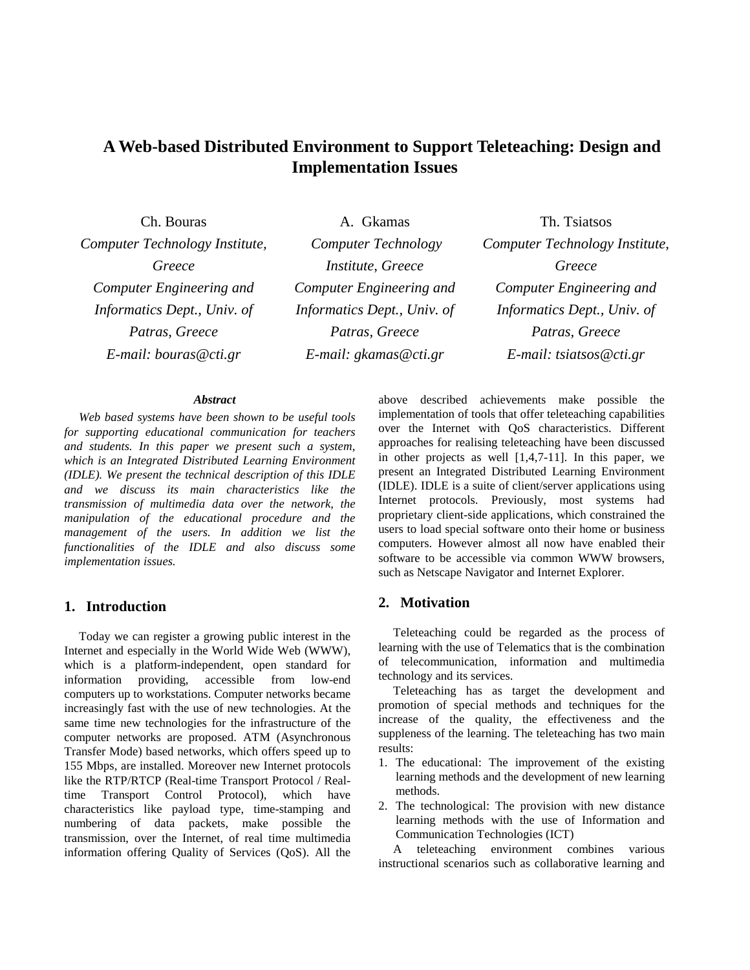# **A Web-based Distributed Environment to Support Teleteaching: Design and Implementation Issues**

Ch. Bouras *Computer Technology Institute, Greece Computer Engineering and Informatics Dept., Univ. of Patras, Greece E-mail: bouras@cti.gr*

A. Gkamas *Computer Technology Institute, Greece Computer Engineering and Informatics Dept., Univ. of Patras, Greece E-mail: gkamas@cti.gr*

Th. Tsiatsos *Computer Technology Institute, Greece Computer Engineering and Informatics Dept., Univ. of Patras, Greece E-mail: tsiatsos@cti.gr*

#### *Abstract*

*Web based systems have been shown to be useful tools for supporting educational communication for teachers and students. In this paper we present such a system, which is an Integrated Distributed Learning Environment (IDLE). We present the technical description of this IDLE and we discuss its main characteristics like the transmission of multimedia data over the network, the manipulation of the educational procedure and the management of the users. In addition we list the functionalities of the IDLE and also discuss some implementation issues.* 

# **1. Introduction**

Today we can register a growing public interest in the Internet and especially in the World Wide Web (WWW), which is a platform-independent, open standard for information providing, accessible from low-end computers up to workstations. Computer networks became increasingly fast with the use of new technologies. At the same time new technologies for the infrastructure of the computer networks are proposed. ATM (Asynchronous Transfer Mode) based networks, which offers speed up to 155 Mbps, are installed. Moreover new Internet protocols like the RTP/RTCP (Real-time Transport Protocol / Realtime Transport Control Protocol), which have characteristics like payload type, time-stamping and numbering of data packets, make possible the transmission, over the Internet, of real time multimedia information offering Quality of Services (QoS). All the above described achievements make possible the implementation of tools that offer teleteaching capabilities over the Internet with QoS characteristics. Different approaches for realising teleteaching have been discussed in other projects as well [1,4,7-11]. In this paper, we present an Integrated Distributed Learning Environment (IDLE). IDLE is a suite of client/server applications using Internet protocols. Previously, most systems had proprietary client-side applications, which constrained the users to load special software onto their home or business computers. However almost all now have enabled their software to be accessible via common WWW browsers, such as Netscape Navigator and Internet Explorer.

### **2. Motivation**

Teleteaching could be regarded as the process of learning with the use of Telematics that is the combination of telecommunication, information and multimedia technology and its services.

Teleteaching has as target the development and promotion of special methods and techniques for the increase of the quality, the effectiveness and the suppleness of the learning. The teleteaching has two main results:

- 1. The educational: The improvement of the existing learning methods and the development of new learning methods.
- 2. The technological: The provision with new distance learning methods with the use of Information and Communication Technologies (ICT)

A teleteaching environment combines various instructional scenarios such as collaborative learning and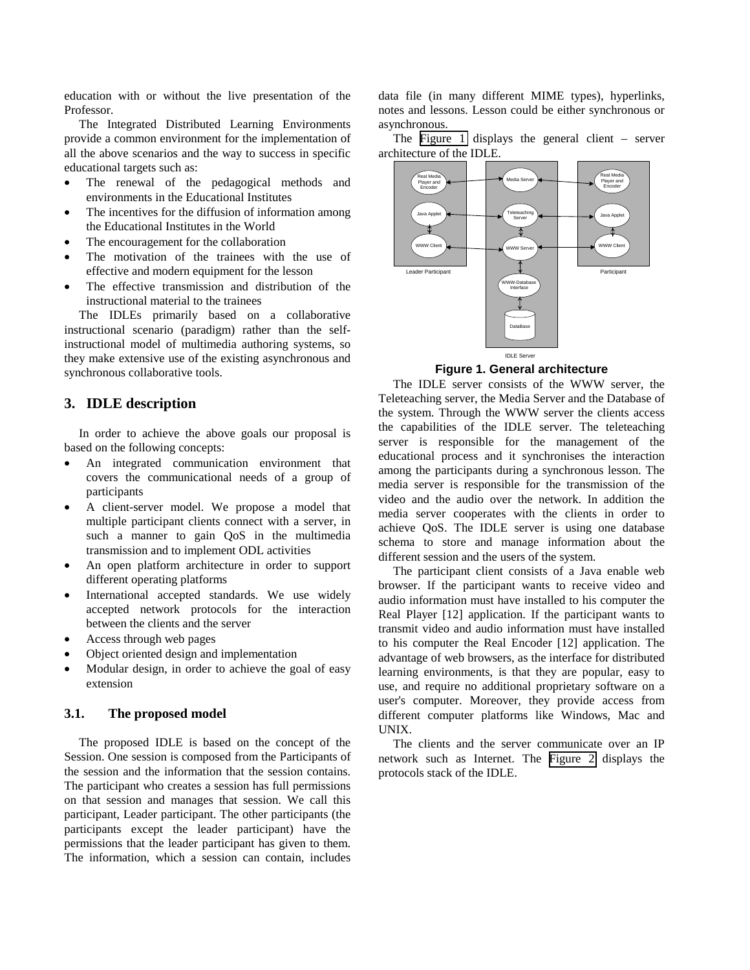education with or without the live presentation of the Professor.

The Integrated Distributed Learning Environments provide a common environment for the implementation of all the above scenarios and the way to success in specific educational targets such as:

- The renewal of the pedagogical methods and environments in the Educational Institutes
- The incentives for the diffusion of information among the Educational Institutes in the World
- The encouragement for the collaboration
- The motivation of the trainees with the use of effective and modern equipment for the lesson
- The effective transmission and distribution of the instructional material to the trainees

The IDLEs primarily based on a collaborative instructional scenario (paradigm) rather than the selfinstructional model of multimedia authoring systems, so they make extensive use of the existing asynchronous and synchronous collaborative tools.

# **3. IDLE description**

In order to achieve the above goals our proposal is based on the following concepts:

- An integrated communication environment that covers the communicational needs of a group of participants
- A client-server model. We propose a model that multiple participant clients connect with a server, in such a manner to gain QoS in the multimedia transmission and to implement ODL activities
- An open platform architecture in order to support different operating platforms
- International accepted standards. We use widely accepted network protocols for the interaction between the clients and the server
- Access through web pages
- Object oriented design and implementation
- Modular design, in order to achieve the goal of easy extension

### **3.1. The proposed model**

The proposed IDLE is based on the concept of the Session. One session is composed from the Participants of the session and the information that the session contains. The participant who creates a session has full permissions on that session and manages that session. We call this participant, Leader participant. The other participants (the participants except the leader participant) have the permissions that the leader participant has given to them. The information, which a session can contain, includes data file (in many different MIME types), hyperlinks, notes and lessons. Lesson could be either synchronous or asynchronous.

The Figure 1 displays the general client – server architecture of the IDLE.





The IDLE server consists of the WWW server, the Teleteaching server, the Media Server and the Database of the system. Through the WWW server the clients access the capabilities of the IDLE server. The teleteaching server is responsible for the management of the educational process and it synchronises the interaction among the participants during a synchronous lesson. The media server is responsible for the transmission of the video and the audio over the network. In addition the media server cooperates with the clients in order to achieve QoS. The IDLE server is using one database schema to store and manage information about the different session and the users of the system.

The participant client consists of a Java enable web browser. If the participant wants to receive video and audio information must have installed to his computer the Real Player [12] application. If the participant wants to transmit video and audio information must have installed to his computer the Real Encoder [12] application. The advantage of web browsers, as the interface for distributed learning environments, is that they are popular, easy to use, and require no additional proprietary software on a user's computer. Moreover, they provide access from different computer platforms like Windows, Mac and UNIX.

The clients and the server communicate over an IP network such as Internet. The [Figure 2](#page-2-0) displays the protocols stack of the IDLE.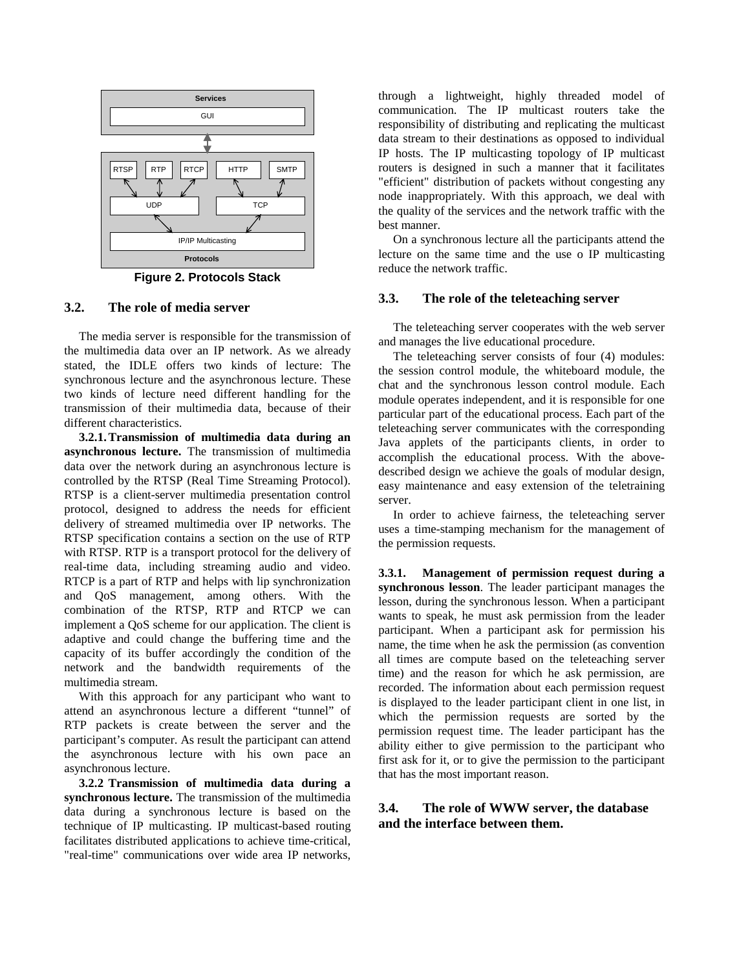<span id="page-2-0"></span>

**Figure 2. Protocols Stack** 

### **3.2. The role of media server**

The media server is responsible for the transmission of the multimedia data over an IP network. As we already stated, the IDLE offers two kinds of lecture: The synchronous lecture and the asynchronous lecture. These two kinds of lecture need different handling for the transmission of their multimedia data, because of their different characteristics.

**3.2.1. Transmission of multimedia data during an asynchronous lecture.** The transmission of multimedia data over the network during an asynchronous lecture is controlled by the RTSP (Real Time Streaming Protocol). RTSP is a client-server multimedia presentation control protocol, designed to address the needs for efficient delivery of streamed multimedia over IP networks. The RTSP specification contains a section on the use of RTP with RTSP. RTP is a transport protocol for the delivery of real-time data, including streaming audio and video. RTCP is a part of RTP and helps with lip synchronization and QoS management, among others. With the combination of the RTSP, RTP and RTCP we can implement a QoS scheme for our application. The client is adaptive and could change the buffering time and the capacity of its buffer accordingly the condition of the network and the bandwidth requirements of the multimedia stream.

With this approach for any participant who want to attend an asynchronous lecture a different "tunnel" of RTP packets is create between the server and the participant's computer. As result the participant can attend the asynchronous lecture with his own pace an asynchronous lecture.

**3.2.2 Transmission of multimedia data during a synchronous lecture.** The transmission of the multimedia data during a synchronous lecture is based on the technique of IP multicasting. IP multicast-based routing facilitates distributed applications to achieve time-critical, "real-time" communications over wide area IP networks,

through a lightweight, highly threaded model of communication. The IP multicast routers take the responsibility of distributing and replicating the multicast data stream to their destinations as opposed to individual IP hosts. The IP multicasting topology of IP multicast routers is designed in such a manner that it facilitates "efficient" distribution of packets without congesting any node inappropriately. With this approach, we deal with the quality of the services and the network traffic with the best manner.

On a synchronous lecture all the participants attend the lecture on the same time and the use o IP multicasting reduce the network traffic.

### **3.3. The role of the teleteaching server**

The teleteaching server cooperates with the web server and manages the live educational procedure.

The teleteaching server consists of four (4) modules: the session control module, the whiteboard module, the chat and the synchronous lesson control module. Each module operates independent, and it is responsible for one particular part of the educational process. Each part of the teleteaching server communicates with the corresponding Java applets of the participants clients, in order to accomplish the educational process. With the abovedescribed design we achieve the goals of modular design, easy maintenance and easy extension of the teletraining server.

In order to achieve fairness, the teleteaching server uses a time-stamping mechanism for the management of the permission requests.

**3.3.1. Management of permission request during a synchronous lesson**. The leader participant manages the lesson, during the synchronous lesson. When a participant wants to speak, he must ask permission from the leader participant. When a participant ask for permission his name, the time when he ask the permission (as convention all times are compute based on the teleteaching server time) and the reason for which he ask permission, are recorded. The information about each permission request is displayed to the leader participant client in one list, in which the permission requests are sorted by the permission request time. The leader participant has the ability either to give permission to the participant who first ask for it, or to give the permission to the participant that has the most important reason.

# **3.4. The role of WWW server, the database and the interface between them.**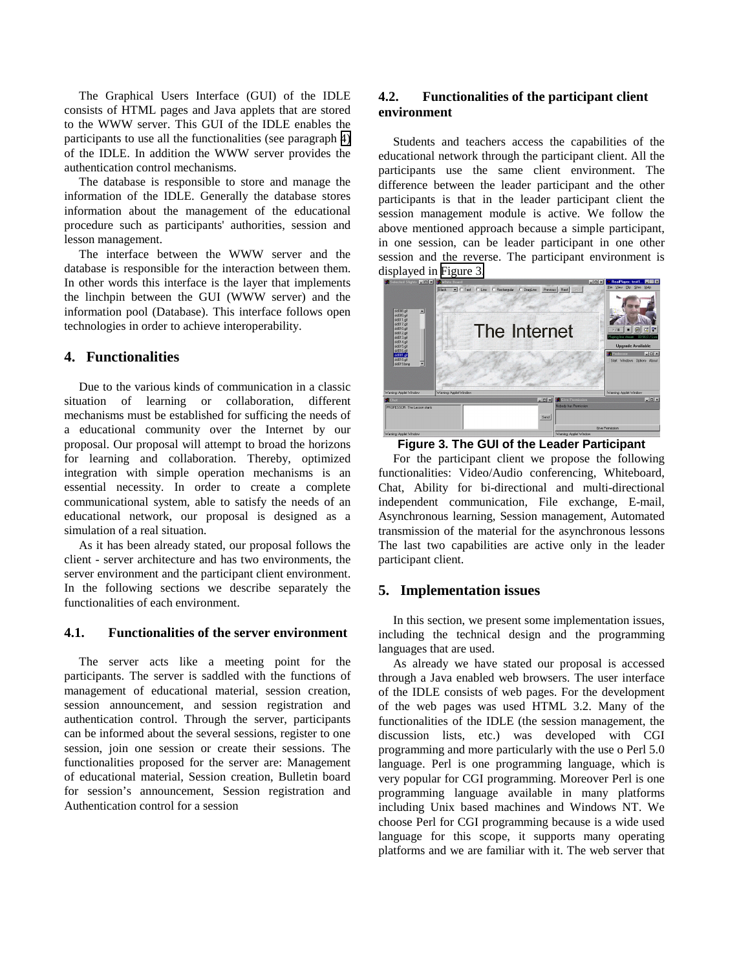The Graphical Users Interface (GUI) of the IDLE consists of HTML pages and Java applets that are stored to the WWW server. This GUI of the IDLE enables the participants to use all the functionalities (see paragraph 4) of the IDLE. In addition the WWW server provides the authentication control mechanisms.

The database is responsible to store and manage the information of the IDLE. Generally the database stores information about the management of the educational procedure such as participants' authorities, session and lesson management.

The interface between the WWW server and the database is responsible for the interaction between them. In other words this interface is the layer that implements the linchpin between the GUI (WWW server) and the information pool (Database). This interface follows open technologies in order to achieve interoperability.

# **4. Functionalities**

Due to the various kinds of communication in a classic situation of learning or collaboration, different mechanisms must be established for sufficing the needs of a educational community over the Internet by our proposal. Our proposal will attempt to broad the horizons for learning and collaboration. Thereby, optimized integration with simple operation mechanisms is an essential necessity. In order to create a complete communicational system, able to satisfy the needs of an educational network, our proposal is designed as a simulation of a real situation.

As it has been already stated, our proposal follows the client - server architecture and has two environments, the server environment and the participant client environment. In the following sections we describe separately the functionalities of each environment.

### **4.1. Functionalities of the server environment**

The server acts like a meeting point for the participants. The server is saddled with the functions of management of educational material, session creation, session announcement, and session registration and authentication control. Through the server, participants can be informed about the several sessions, register to one session, join one session or create their sessions. The functionalities proposed for the server are: Management of educational material, Session creation, Bulletin board for session's announcement, Session registration and Authentication control for a session

# **4.2. Functionalities of the participant client environment**

Students and teachers access the capabilities of the educational network through the participant client. All the participants use the same client environment. The difference between the leader participant and the other participants is that in the leader participant client the session management module is active. We follow the above mentioned approach because a simple participant, in one session, can be leader participant in one other session and the reverse. The participant environment is displayed in Figure 3.



**Figure 3. The GUI of the Leader Participant** 

For the participant client we propose the following functionalities: Video/Audio conferencing, Whiteboard, Chat, Ability for bi-directional and multi-directional independent communication, File exchange, E-mail, Asynchronous learning, Session management, Automated transmission of the material for the asynchronous lessons The last two capabilities are active only in the leader participant client.

### **5. Implementation issues**

In this section, we present some implementation issues, including the technical design and the programming languages that are used.

As already we have stated our proposal is accessed through a Java enabled web browsers. The user interface of the IDLE consists of web pages. For the development of the web pages was used HTML 3.2. Many of the functionalities of the IDLE (the session management, the discussion lists, etc.) was developed with CGI programming and more particularly with the use o Perl 5.0 language. Perl is one programming language, which is very popular for CGI programming. Moreover Perl is one programming language available in many platforms including Unix based machines and Windows NT. We choose Perl for CGI programming because is a wide used language for this scope, it supports many operating platforms and we are familiar with it. The web server that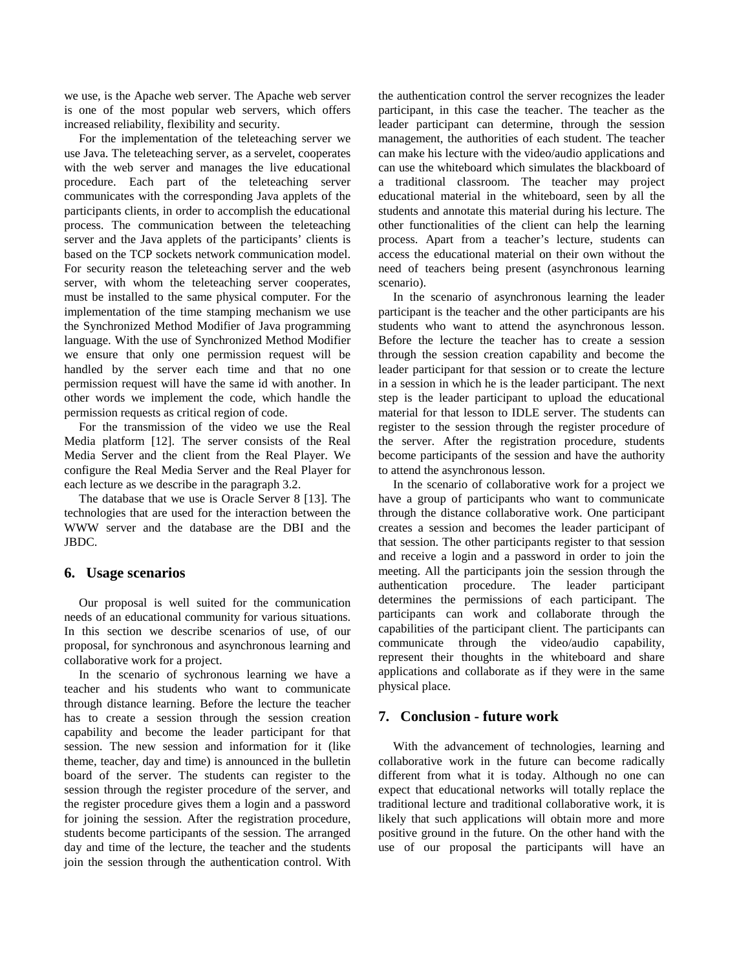we use, is the Apache web server. The Apache web server is one of the most popular web servers, which offers increased reliability, flexibility and security.

For the implementation of the teleteaching server we use Java. The teleteaching server, as a servelet, cooperates with the web server and manages the live educational procedure. Each part of the teleteaching server communicates with the corresponding Java applets of the participants clients, in order to accomplish the educational process. The communication between the teleteaching server and the Java applets of the participants' clients is based on the TCP sockets network communication model. For security reason the teleteaching server and the web server, with whom the teleteaching server cooperates, must be installed to the same physical computer. For the implementation of the time stamping mechanism we use the Synchronized Method Modifier of Java programming language. With the use of Synchronized Method Modifier we ensure that only one permission request will be handled by the server each time and that no one permission request will have the same id with another. In other words we implement the code, which handle the permission requests as critical region of code.

For the transmission of the video we use the Real Media platform [12]. The server consists of the Real Media Server and the client from the Real Player. We configure the Real Media Server and the Real Player for each lecture as we describe in the paragraph 3.2.

The database that we use is Oracle Server 8 [13]. The technologies that are used for the interaction between the WWW server and the database are the DBI and the JBDC.

### **6. Usage scenarios**

Our proposal is well suited for the communication needs of an educational community for various situations. In this section we describe scenarios of use, of our proposal, for synchronous and asynchronous learning and collaborative work for a project.

In the scenario of sychronous learning we have a teacher and his students who want to communicate through distance learning. Before the lecture the teacher has to create a session through the session creation capability and become the leader participant for that session. The new session and information for it (like theme, teacher, day and time) is announced in the bulletin board of the server. The students can register to the session through the register procedure of the server, and the register procedure gives them a login and a password for joining the session. After the registration procedure, students become participants of the session. The arranged day and time of the lecture, the teacher and the students join the session through the authentication control. With

the authentication control the server recognizes the leader participant, in this case the teacher. The teacher as the leader participant can determine, through the session management, the authorities of each student. The teacher can make his lecture with the video/audio applications and can use the whiteboard which simulates the blackboard of a traditional classroom. The teacher may project educational material in the whiteboard, seen by all the students and annotate this material during his lecture. The other functionalities of the client can help the learning process. Apart from a teacher's lecture, students can access the educational material on their own without the need of teachers being present (asynchronous learning scenario).

In the scenario of asynchronous learning the leader participant is the teacher and the other participants are his students who want to attend the asynchronous lesson. Before the lecture the teacher has to create a session through the session creation capability and become the leader participant for that session or to create the lecture in a session in which he is the leader participant. The next step is the leader participant to upload the educational material for that lesson to IDLE server. The students can register to the session through the register procedure of the server. After the registration procedure, students become participants of the session and have the authority to attend the asynchronous lesson.

In the scenario of collaborative work for a project we have a group of participants who want to communicate through the distance collaborative work. One participant creates a session and becomes the leader participant of that session. The other participants register to that session and receive a login and a password in order to join the meeting. All the participants join the session through the authentication procedure. The leader participant determines the permissions of each participant. The participants can work and collaborate through the capabilities of the participant client. The participants can communicate through the video/audio capability, represent their thoughts in the whiteboard and share applications and collaborate as if they were in the same physical place.

### **7. Conclusion - future work**

With the advancement of technologies, learning and collaborative work in the future can become radically different from what it is today. Although no one can expect that educational networks will totally replace the traditional lecture and traditional collaborative work, it is likely that such applications will obtain more and more positive ground in the future. On the other hand with the use of our proposal the participants will have an